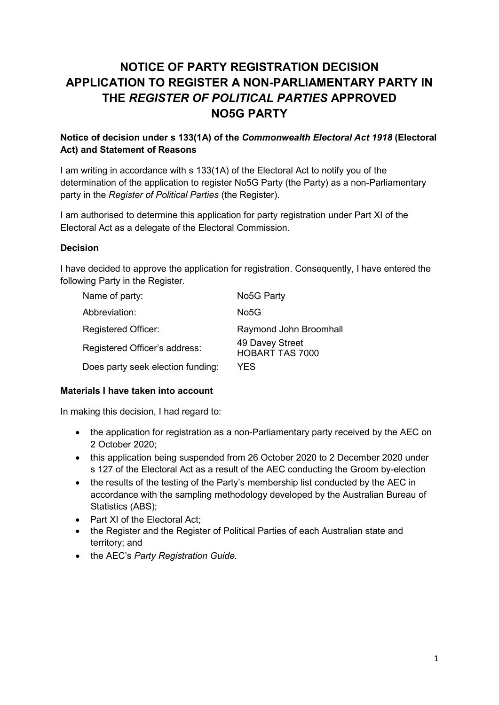# **NOTICE OF PARTY REGISTRATION DECISION APPLICATION TO REGISTER A NON-PARLIAMENTARY PARTY IN THE** *REGISTER OF POLITICAL PARTIES* **APPROVED NO5G PARTY**

## **Notice of decision under s 133(1A) of the** *Commonwealth Electoral Act 1918* **(Electoral Act) and Statement of Reasons**

I am writing in accordance with s 133(1A) of the Electoral Act to notify you of the determination of the application to register No5G Party (the Party) as a non-Parliamentary party in the *Register of Political Parties* (the Register).

I am authorised to determine this application for party registration under Part XI of the Electoral Act as a delegate of the Electoral Commission.

#### **Decision**

I have decided to approve the application for registration. Consequently, I have entered the following Party in the Register.

| Name of party:                    | No <sub>5</sub> G Party                   |
|-----------------------------------|-------------------------------------------|
| Abbreviation:                     | No <sub>5</sub> G                         |
| Registered Officer:               | Raymond John Broomhall                    |
| Registered Officer's address:     | 49 Davey Street<br><b>HOBART TAS 7000</b> |
| Does party seek election funding: | YES                                       |

#### **Materials I have taken into account**

In making this decision, I had regard to:

- the application for registration as a non-Parliamentary party received by the AEC on 2 October 2020;
- this application being suspended from 26 October 2020 to 2 December 2020 under s 127 of the Electoral Act as a result of the AEC conducting the Groom by-election
- the results of the testing of the Party's membership list conducted by the AEC in accordance with the sampling methodology developed by the Australian Bureau of Statistics (ABS);
- Part XI of the Electoral Act:
- the Register and the Register of Political Parties of each Australian state and territory; and
- the AEC's *Party Registration Guide.*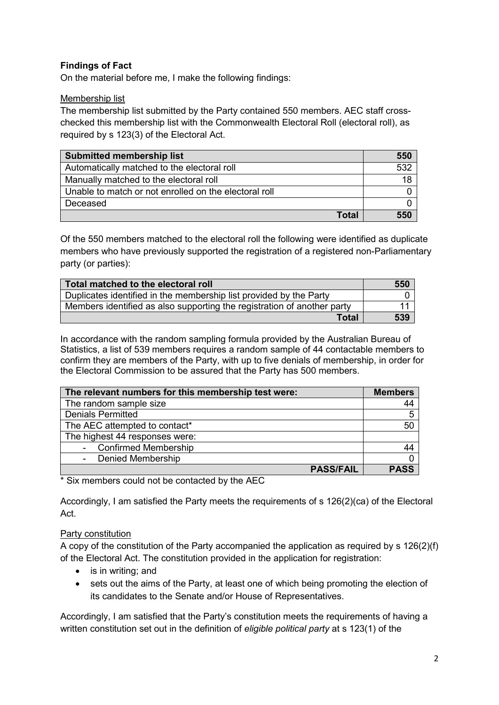# **Findings of Fact**

On the material before me, I make the following findings:

#### Membership list

The membership list submitted by the Party contained 550 members. AEC staff crosschecked this membership list with the Commonwealth Electoral Roll (electoral roll), as required by s 123(3) of the Electoral Act.

| <b>Submitted membership list</b>                      | 550 |
|-------------------------------------------------------|-----|
| Automatically matched to the electoral roll           | 532 |
| Manually matched to the electoral roll                | 18  |
| Unable to match or not enrolled on the electoral roll |     |
| Deceased                                              |     |
| Total                                                 | 550 |

Of the 550 members matched to the electoral roll the following were identified as duplicate members who have previously supported the registration of a registered non-Parliamentary party (or parties):

| Total matched to the electoral roll                                     | 550 |
|-------------------------------------------------------------------------|-----|
| Duplicates identified in the membership list provided by the Party      |     |
| Members identified as also supporting the registration of another party |     |
| Total                                                                   | 539 |

In accordance with the random sampling formula provided by the Australian Bureau of Statistics, a list of 539 members requires a random sample of 44 contactable members to confirm they are members of the Party, with up to five denials of membership, in order for the Electoral Commission to be assured that the Party has 500 members.

| The relevant numbers for this membership test were: | <b>Members</b> |
|-----------------------------------------------------|----------------|
| The random sample size                              | 44             |
| <b>Denials Permitted</b>                            | 5              |
| The AEC attempted to contact*                       | 50             |
| The highest 44 responses were:                      |                |
| - Confirmed Membership                              | 44             |
| <b>Denied Membership</b>                            |                |
| <b>PASS/FAIL</b>                                    | <b>PASS</b>    |

\* Six members could not be contacted by the AEC

Accordingly, I am satisfied the Party meets the requirements of s 126(2)(ca) of the Electoral Act.

## Party constitution

A copy of the constitution of the Party accompanied the application as required by s 126(2)(f) of the Electoral Act. The constitution provided in the application for registration:

- is in writing; and
- sets out the aims of the Party, at least one of which being promoting the election of its candidates to the Senate and/or House of Representatives.

Accordingly, I am satisfied that the Party's constitution meets the requirements of having a written constitution set out in the definition of *eligible political party* at s 123(1) of the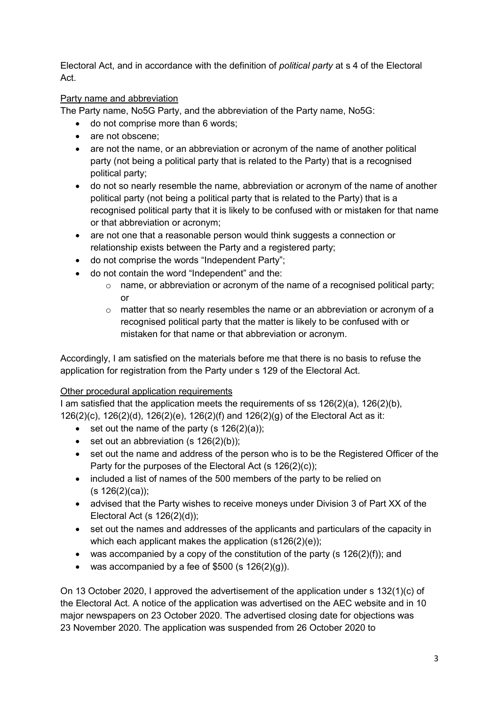Electoral Act, and in accordance with the definition of *political party* at s 4 of the Electoral Act.

# Party name and abbreviation

The Party name, No5G Party, and the abbreviation of the Party name, No5G:

- do not comprise more than 6 words;
- are not obscene:
- are not the name, or an abbreviation or acronym of the name of another political party (not being a political party that is related to the Party) that is a recognised political party;
- do not so nearly resemble the name, abbreviation or acronym of the name of another political party (not being a political party that is related to the Party) that is a recognised political party that it is likely to be confused with or mistaken for that name or that abbreviation or acronym;
- are not one that a reasonable person would think suggests a connection or relationship exists between the Party and a registered party;
- do not comprise the words "Independent Party";
- do not contain the word "Independent" and the:
	- o name, or abbreviation or acronym of the name of a recognised political party; or
	- $\circ$  matter that so nearly resembles the name or an abbreviation or acronym of a recognised political party that the matter is likely to be confused with or mistaken for that name or that abbreviation or acronym.

Accordingly, I am satisfied on the materials before me that there is no basis to refuse the application for registration from the Party under s 129 of the Electoral Act.

# Other procedural application requirements

I am satisfied that the application meets the requirements of ss 126(2)(a), 126(2)(b), 126(2)(c), 126(2)(d), 126(2)(e), 126(2)(f) and 126(2)(g) of the Electoral Act as it:

- set out the name of the party  $(s 126(2)(a))$ ;
- set out an abbreviation  $(s 126(2)(b))$ ;
- set out the name and address of the person who is to be the Registered Officer of the Party for the purposes of the Electoral Act (s 126(2)(c));
- included a list of names of the 500 members of the party to be relied on  $(s 126(2)(ca))$ ;
- advised that the Party wishes to receive moneys under Division 3 of Part XX of the Electoral Act (s 126(2)(d));
- set out the names and addresses of the applicants and particulars of the capacity in which each applicant makes the application (s126(2)(e));
- was accompanied by a copy of the constitution of the party (s  $126(2)(f)$ ); and
- was accompanied by a fee of  $$500$  (s  $126(2)(q)$ ).

On 13 October 2020, I approved the advertisement of the application under s 132(1)(c) of the Electoral Act. A notice of the application was advertised on the AEC website and in 10 major newspapers on 23 October 2020. The advertised closing date for objections was 23 November 2020. The application was suspended from 26 October 2020 to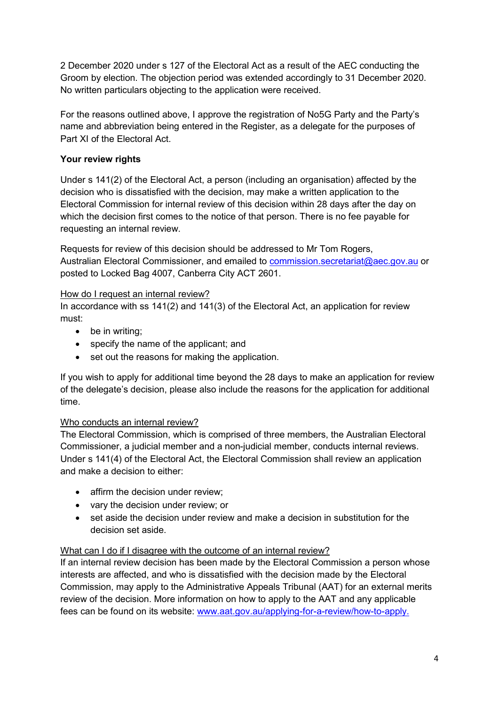2 December 2020 under s 127 of the Electoral Act as a result of the AEC conducting the Groom by election. The objection period was extended accordingly to 31 December 2020. No written particulars objecting to the application were received.

For the reasons outlined above, I approve the registration of No5G Party and the Party's name and abbreviation being entered in the Register, as a delegate for the purposes of Part XI of the Electoral Act.

## **Your review rights**

Under s 141(2) of the Electoral Act, a person (including an organisation) affected by the decision who is dissatisfied with the decision, may make a written application to the Electoral Commission for internal review of this decision within 28 days after the day on which the decision first comes to the notice of that person. There is no fee payable for requesting an internal review.

Requests for review of this decision should be addressed to Mr Tom Rogers, Australian Electoral Commissioner, and emailed to [commission.secretariat@aec.gov.au](mailto:commission.secretariat@aec.gov.au) or posted to Locked Bag 4007, Canberra City ACT 2601.

## How do I request an internal review?

In accordance with ss 141(2) and 141(3) of the Electoral Act, an application for review must:

- be in writing;
- specify the name of the applicant; and
- set out the reasons for making the application.

If you wish to apply for additional time beyond the 28 days to make an application for review of the delegate's decision, please also include the reasons for the application for additional time.

# Who conducts an internal review?

The Electoral Commission, which is comprised of three members, the Australian Electoral Commissioner, a judicial member and a non-judicial member, conducts internal reviews. Under s 141(4) of the Electoral Act, the Electoral Commission shall review an application and make a decision to either:

- affirm the decision under review:
- vary the decision under review; or
- set aside the decision under review and make a decision in substitution for the decision set aside.

## What can I do if I disagree with the outcome of an internal review?

If an internal review decision has been made by the Electoral Commission a person whose interests are affected, and who is dissatisfied with the decision made by the Electoral Commission, may apply to the Administrative Appeals Tribunal (AAT) for an external merits review of the decision. More information on how to apply to the AAT and any applicable fees can be found on its website: [www.aat.gov.au/applying-for-a-review/how-to-apply.](http://www.aat.gov.au/applying-for-a-review/how-to-apply)